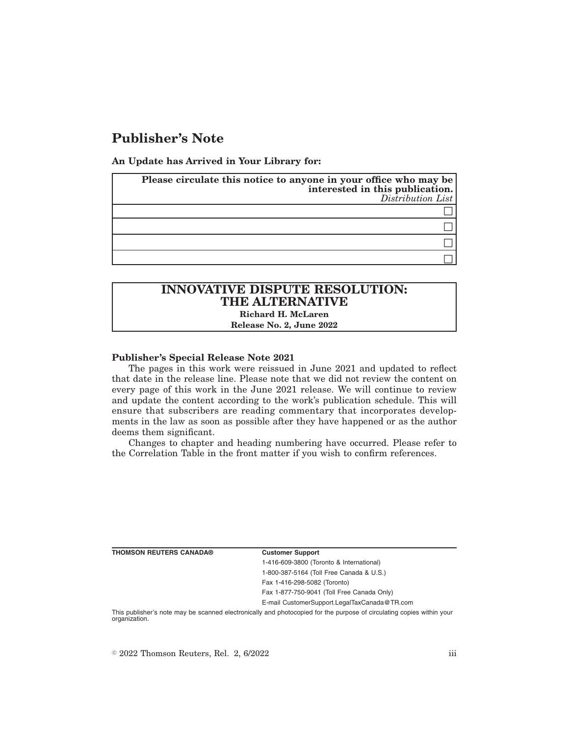# **Publisher's Note**

**An Update has Arrived in Your Library for:**

| Please circulate this notice to anyone in your office who may be<br>interested in this publication.<br>$Distriolution$ List |
|-----------------------------------------------------------------------------------------------------------------------------|
|                                                                                                                             |
|                                                                                                                             |
|                                                                                                                             |
|                                                                                                                             |

# **INNOVATIVE DISPUTE RESOLUTION: THE ALTERNATIVE Richard H. McLaren**

**Release No. 2, June 2022**

## **Publisher's Special Release Note 2021**

The pages in this work were reissued in June 2021 and updated to reflect that date in the release line. Please note that we did not review the content on every page of this work in the June 2021 release. We will continue to review and update the content according to the work's publication schedule. This will ensure that subscribers are reading commentary that incorporates developments in the law as soon as possible after they have happened or as the author deems them significant.

Changes to chapter and heading numbering have occurred. Please refer to the Correlation Table in the front matter if you wish to confirm references.

| <b>Customer Support</b>                      |
|----------------------------------------------|
| 1-416-609-3800 (Toronto & International)     |
| 1-800-387-5164 (Toll Free Canada & U.S.)     |
| Fax 1-416-298-5082 (Toronto)                 |
| Fax 1-877-750-9041 (Toll Free Canada Only)   |
| E-mail CustomerSupport.LegalTaxCanada@TR.com |

This publisher's note may be scanned electronically and photocopied for the purpose of circulating copies within your organization.

 $\degree$  2022 Thomson Reuters, Rel. 2, 6/2022 iii

**THOMSON REUTERS CANADA®**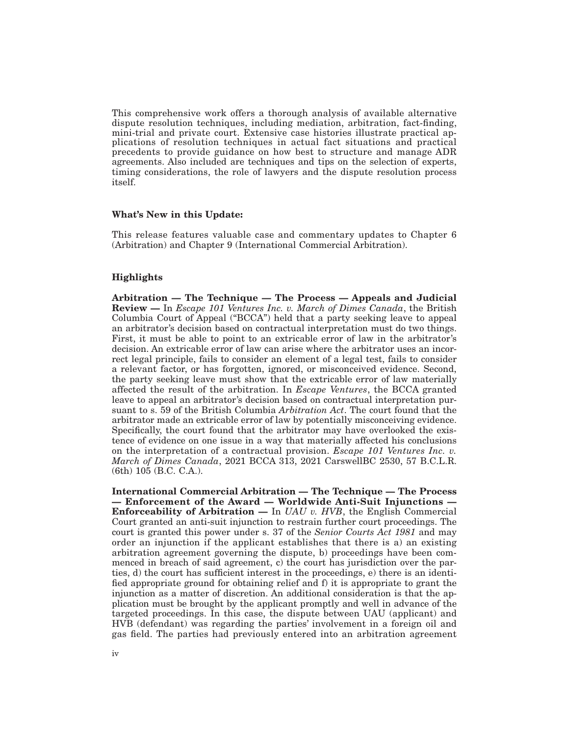This comprehensive work offers a thorough analysis of available alternative dispute resolution techniques, including mediation, arbitration, fact-finding, mini-trial and private court. Extensive case histories illustrate practical applications of resolution techniques in actual fact situations and practical precedents to provide guidance on how best to structure and manage ADR agreements. Also included are techniques and tips on the selection of experts, timing considerations, the role of lawyers and the dispute resolution process itself.

#### **What's New in this Update:**

This release features valuable case and commentary updates to Chapter 6 (Arbitration) and Chapter 9 (International Commercial Arbitration).

# **Highlights**

**Arbitration — The Technique — The Process — Appeals and Judicial Review —** In *Escape 101 Ventures Inc. v. March of Dimes Canada*, the British Columbia Court of Appeal ("BCCA") held that a party seeking leave to appeal an arbitrator's decision based on contractual interpretation must do two things. First, it must be able to point to an extricable error of law in the arbitrator's decision. An extricable error of law can arise where the arbitrator uses an incorrect legal principle, fails to consider an element of a legal test, fails to consider a relevant factor, or has forgotten, ignored, or misconceived evidence. Second, the party seeking leave must show that the extricable error of law materially affected the result of the arbitration. In *Escape Ventures*, the BCCA granted leave to appeal an arbitrator's decision based on contractual interpretation pursuant to s. 59 of the British Columbia *Arbitration Act*. The court found that the arbitrator made an extricable error of law by potentially misconceiving evidence. Specifically, the court found that the arbitrator may have overlooked the existence of evidence on one issue in a way that materially affected his conclusions on the interpretation of a contractual provision. *Escape 101 Ventures Inc. v. March of Dimes Canada*, 2021 BCCA 313, 2021 CarswellBC 2530, 57 B.C.L.R. (6th) 105 (B.C. C.A.).

**International Commercial Arbitration — The Technique — The Process — Enforcement of the Award — Worldwide Anti-Suit Injunctions — Enforceability of Arbitration —** In *UAU v. HVB*, the English Commercial Court granted an anti-suit injunction to restrain further court proceedings. The court is granted this power under s. 37 of the *Senior Courts Act 1981* and may order an injunction if the applicant establishes that there is a) an existing arbitration agreement governing the dispute, b) proceedings have been commenced in breach of said agreement, c) the court has jurisdiction over the parties, d) the court has sufficient interest in the proceedings, e) there is an identified appropriate ground for obtaining relief and f) it is appropriate to grant the injunction as a matter of discretion. An additional consideration is that the application must be brought by the applicant promptly and well in advance of the targeted proceedings. In this case, the dispute between UAU (applicant) and HVB (defendant) was regarding the parties' involvement in a foreign oil and gas field. The parties had previously entered into an arbitration agreement